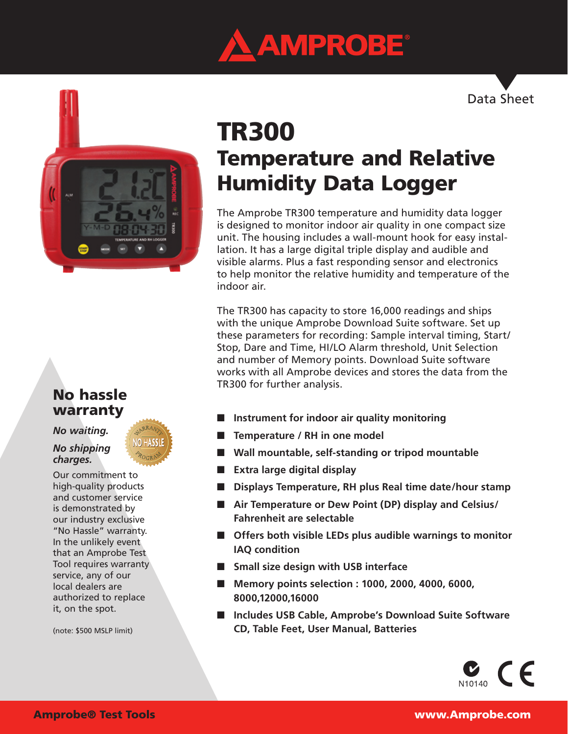





# TR300 Temperature and Relative Humidity Data Logger

The Amprobe TR300 temperature and humidity data logger is designed to monitor indoor air quality in one compact size unit. The housing includes a wall-mount hook for easy installation. It has a large digital triple display and audible and visible alarms. Plus a fast responding sensor and electronics to help monitor the relative humidity and temperature of the indoor air.

The TR300 has capacity to store 16,000 readings and ships with the unique Amprobe Download Suite software. Set up these parameters for recording: Sample interval timing, Start/ Stop, Dare and Time, HI/LO Alarm threshold, Unit Selection and number of Memory points. Download Suite software works with all Amprobe devices and stores the data from the TR300 for further analysis.

- **Instrument for indoor air quality monitoring**
- **Temperature / RH** in one model
- Wall mountable, self-standing or tripod mountable
- **Extra large digital display**
- **Displays Temperature, RH plus Real time date/hour stamp**
- Air Temperature or Dew Point (DP) display and Celsius/ **Fahrenheit are selectable**
- **Offers both visible LEDs plus audible warnings to monitor IAQ condition**
- **Small size design with USB interface**
- Memory points selection : 1000, 2000, 4000, 6000, **8000,12000,16000**
- **Includes USB Cable, Amprobe's Download Suite Software CD, Table Feet, User Manual, Batteries**



# No hassle warranty

# *No waiting.*

# *No shipping charges.*

Our commitment to high-quality products and customer service is demonstrated by our industry exclusive "No Hassle" warranty. In the unlikely event that an Amprobe Test Tool requires warranty service, any of our local dealers are authorized to replace it, on the spot.

(note: \$500 MSLP limit)